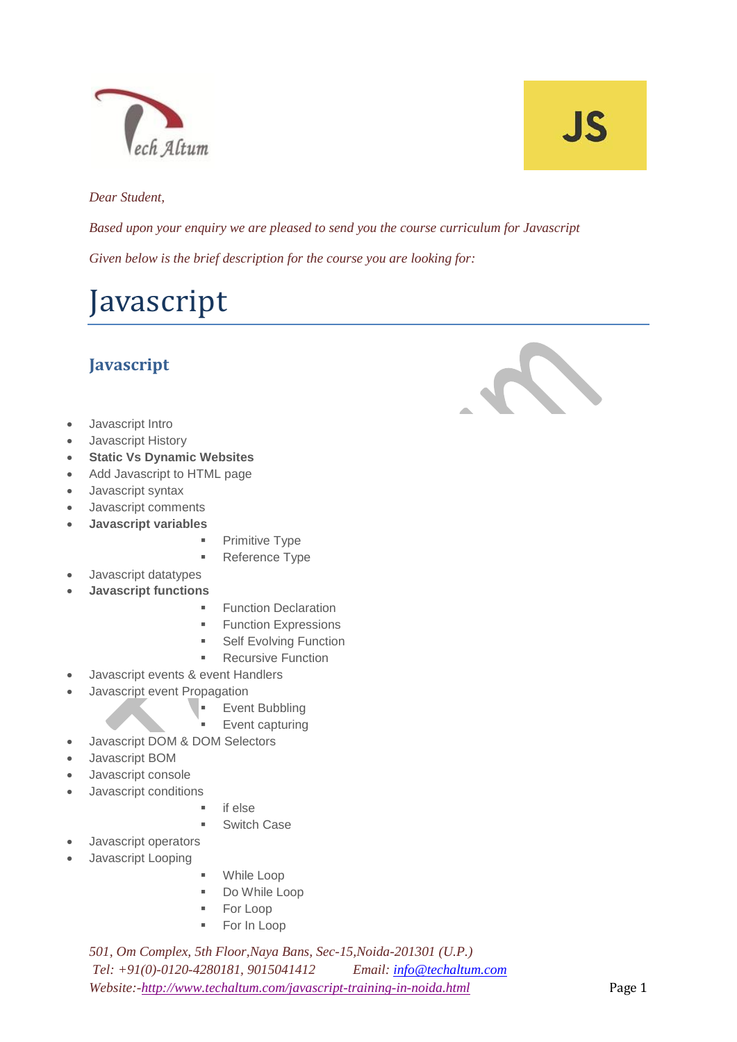

# JS

#### *Dear Student,*

*Based upon your enquiry we are pleased to send you the course curriculum for Javascript Given below is the brief description for the course you are looking for:*

### Javascript

#### **Javascript**

- Javascript Intro
- Javascript History
- **Static Vs Dynamic Websites**
- Add Javascript to HTML page
- Javascript syntax
- Javascript comments
- **Javascript variables**
	- **Primitive Type**
	- **Reference Type**
- Javascript datatypes
- **Javascript functions**
	- **Function Declaration**
	- **Function Expressions**
	- **Self Evolving Function**
	- **Recursive Function**
- Javascript events & event Handlers
- Javascript event Propagation
	- **Event Bubbling**
	- Event capturing
- Javascript DOM & DOM Selectors
- Javascript BOM
- Javascript console
- Javascript conditions
	- $\blacksquare$  if else
	- **Switch Case**
- Javascript operators
- Javascript Looping
- While Loop
- Do While Loop
- **For Loop**
- **For In Loop**

*501, Om Complex, 5th Floor,Naya Bans, Sec-15,Noida-201301 (U.P.) Tel: +91(0)-0120-4280181, 9015041412 Email[: info@techaltum.com](mailto:info@techaltum.com) Website:[-http://www.techaltum.com/javascript-training-in-noida.html](http://www.techaltum.com/javascript-training-in-noida.html)* Page 1

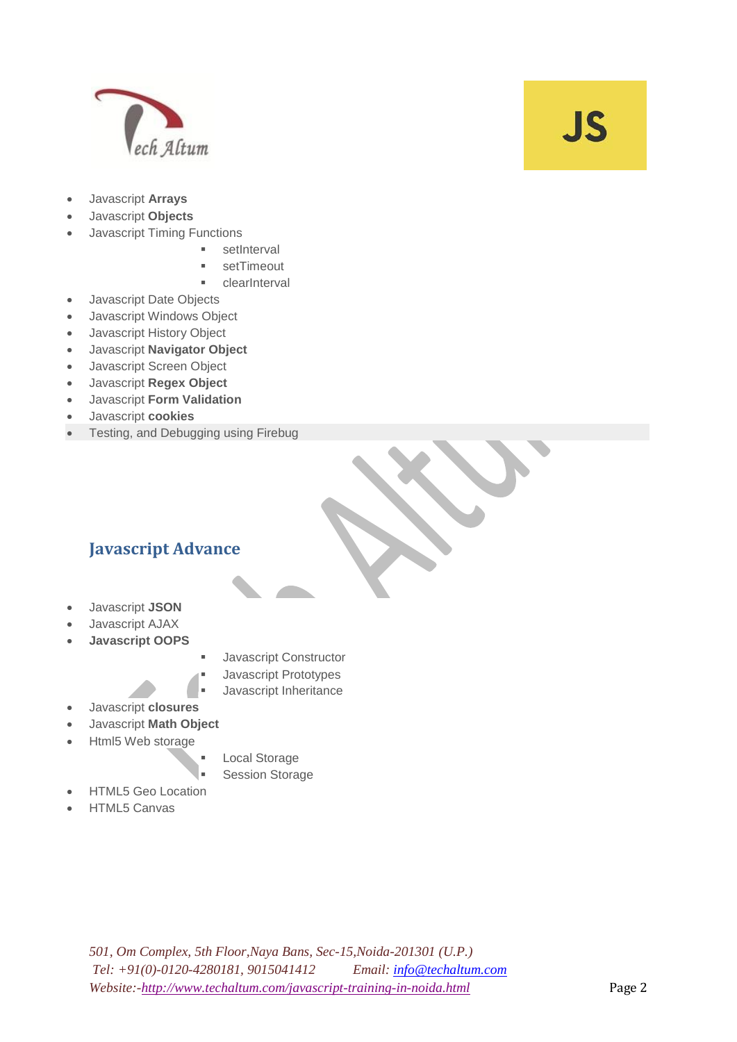

### **JS**

- Javascript **Arrays**
- Javascript **Objects**
- Javascript Timing Functions
	- setInterval
	- setTimeout
	- clearInterval
- Javascript Date Objects
- Javascript Windows Object
- Javascript History Object
- Javascript **Navigator Object**
- Javascript Screen Object
- Javascript **Regex Object**
- Javascript **Form Validation**
- Javascript **cookies**
- Testing, and Debugging using Firebug

#### **Javascript Advance**

- Javascript **JSON**
- Javascript AJAX
- **Javascript OOPS**
- Javascript Constructor
- Javascript Prototypes
- Javascript Inheritance
- Javascript **closures**
- Javascript **Math Object**
- Html5 Web storage
- Local Storage
- Session Storage
- HTML5 Geo Location
- HTML5 Canvas